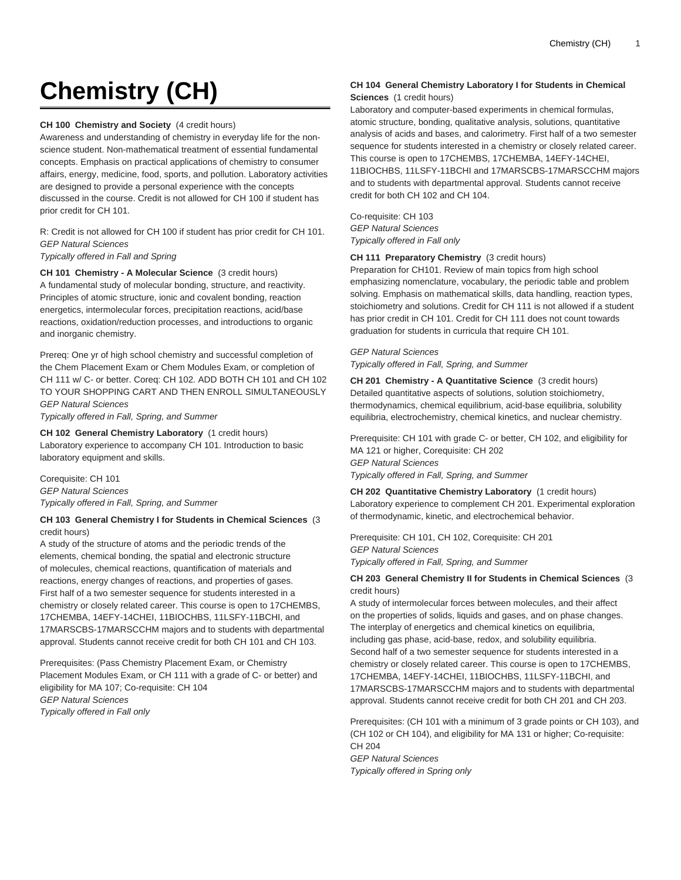# **Chemistry (CH)**

**CH 100 Chemistry and Society** (4 credit hours)

Awareness and understanding of chemistry in everyday life for the nonscience student. Non-mathematical treatment of essential fundamental concepts. Emphasis on practical applications of chemistry to consumer affairs, energy, medicine, food, sports, and pollution. Laboratory activities are designed to provide a personal experience with the concepts discussed in the course. Credit is not allowed for CH 100 if student has prior credit for CH 101.

R: Credit is not allowed for CH 100 if student has prior credit for CH 101. GEP Natural Sciences Typically offered in Fall and Spring

**CH 101 Chemistry - A Molecular Science** (3 credit hours)

A fundamental study of molecular bonding, structure, and reactivity. Principles of atomic structure, ionic and covalent bonding, reaction energetics, intermolecular forces, precipitation reactions, acid/base reactions, oxidation/reduction processes, and introductions to organic and inorganic chemistry.

Prereq: One yr of high school chemistry and successful completion of the Chem Placement Exam or Chem Modules Exam, or completion of CH 111 w/ C- or better. Coreq: CH 102. ADD BOTH CH 101 and CH 102 TO YOUR SHOPPING CART AND THEN ENROLL SIMULTANEOUSLY GEP Natural Sciences

Typically offered in Fall, Spring, and Summer

**CH 102 General Chemistry Laboratory** (1 credit hours) Laboratory experience to accompany CH 101. Introduction to basic laboratory equipment and skills.

Corequisite: CH 101 GEP Natural Sciences Typically offered in Fall, Spring, and Summer

# **CH 103 General Chemistry I for Students in Chemical Sciences** (3 credit hours)

A study of the structure of atoms and the periodic trends of the elements, chemical bonding, the spatial and electronic structure of molecules, chemical reactions, quantification of materials and reactions, energy changes of reactions, and properties of gases. First half of a two semester sequence for students interested in a chemistry or closely related career. This course is open to 17CHEMBS, 17CHEMBA, 14EFY-14CHEI, 11BIOCHBS, 11LSFY-11BCHI, and 17MARSCBS-17MARSCCHM majors and to students with departmental approval. Students cannot receive credit for both CH 101 and CH 103.

Prerequisites: (Pass Chemistry Placement Exam, or Chemistry Placement Modules Exam, or CH 111 with a grade of C- or better) and eligibility for MA 107; Co-requisite: CH 104 GEP Natural Sciences Typically offered in Fall only

## **CH 104 General Chemistry Laboratory I for Students in Chemical Sciences** (1 credit hours)

Laboratory and computer-based experiments in chemical formulas, atomic structure, bonding, qualitative analysis, solutions, quantitative analysis of acids and bases, and calorimetry. First half of a two semester sequence for students interested in a chemistry or closely related career. This course is open to 17CHEMBS, 17CHEMBA, 14EFY-14CHEI, 11BIOCHBS, 11LSFY-11BCHI and 17MARSCBS-17MARSCCHM majors and to students with departmental approval. Students cannot receive credit for both CH 102 and CH 104.

Co-requisite: CH 103 GEP Natural Sciences Typically offered in Fall only

**CH 111 Preparatory Chemistry** (3 credit hours)

Preparation for CH101. Review of main topics from high school emphasizing nomenclature, vocabulary, the periodic table and problem solving. Emphasis on mathematical skills, data handling, reaction types, stoichiometry and solutions. Credit for CH 111 is not allowed if a student has prior credit in CH 101. Credit for CH 111 does not count towards graduation for students in curricula that require CH 101.

# GEP Natural Sciences

Typically offered in Fall, Spring, and Summer

**CH 201 Chemistry - A Quantitative Science** (3 credit hours) Detailed quantitative aspects of solutions, solution stoichiometry, thermodynamics, chemical equilibrium, acid-base equilibria, solubility equilibria, electrochemistry, chemical kinetics, and nuclear chemistry.

Prerequisite: CH 101 with grade C- or better, CH 102, and eligibility for MA 121 or higher, Corequisite: CH 202 GEP Natural Sciences Typically offered in Fall, Spring, and Summer

**CH 202 Quantitative Chemistry Laboratory** (1 credit hours) Laboratory experience to complement CH 201. Experimental exploration of thermodynamic, kinetic, and electrochemical behavior.

Prerequisite: CH 101, CH 102, Corequisite: CH 201 GEP Natural Sciences Typically offered in Fall, Spring, and Summer

## **CH 203 General Chemistry II for Students in Chemical Sciences** (3 credit hours)

A study of intermolecular forces between molecules, and their affect on the properties of solids, liquids and gases, and on phase changes. The interplay of energetics and chemical kinetics on equilibria, including gas phase, acid-base, redox, and solubility equilibria. Second half of a two semester sequence for students interested in a chemistry or closely related career. This course is open to 17CHEMBS, 17CHEMBA, 14EFY-14CHEI, 11BIOCHBS, 11LSFY-11BCHI, and 17MARSCBS-17MARSCCHM majors and to students with departmental approval. Students cannot receive credit for both CH 201 and CH 203.

Prerequisites: (CH 101 with a minimum of 3 grade points or CH 103), and (CH 102 or CH 104), and eligibility for MA 131 or higher; Co-requisite: CH 204

GEP Natural Sciences Typically offered in Spring only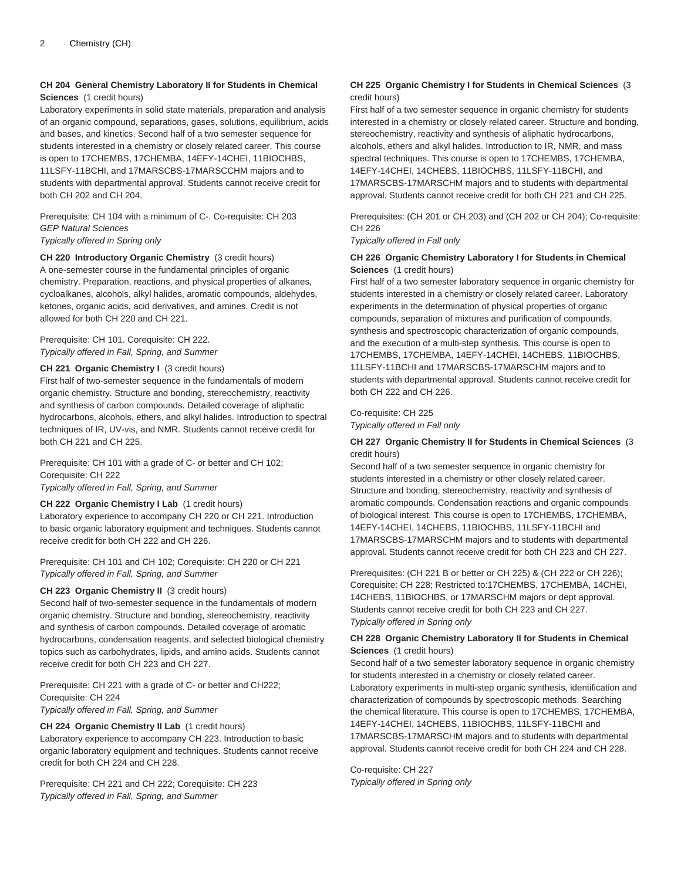# **CH 204 General Chemistry Laboratory II for Students in Chemical Sciences** (1 credit hours)

Laboratory experiments in solid state materials, preparation and analysis of an organic compound, separations, gases, solutions, equilibrium, acids and bases, and kinetics. Second half of a two semester sequence for students interested in a chemistry or closely related career. This course is open to 17CHEMBS, 17CHEMBA, 14EFY-14CHEI, 11BIOCHBS, 11LSFY-11BCHI, and 17MARSCBS-17MARSCCHM majors and to students with departmental approval. Students cannot receive credit for both CH 202 and CH 204.

## Prerequisite: CH 104 with a minimum of C-. Co-requisite: CH 203 GEP Natural Sciences Typically offered in Spring only

**CH 220 Introductory Organic Chemistry** (3 credit hours) A one-semester course in the fundamental principles of organic chemistry. Preparation, reactions, and physical properties of alkanes, cycloalkanes, alcohols, alkyl halides, aromatic compounds, aldehydes, ketones, organic acids, acid derivatives, and amines. Credit is not allowed for both CH 220 and CH 221.

# Prerequisite: CH 101. Corequisite: CH 222. Typically offered in Fall, Spring, and Summer

## **CH 221 Organic Chemistry I** (3 credit hours)

First half of two-semester sequence in the fundamentals of modern organic chemistry. Structure and bonding, stereochemistry, reactivity and synthesis of carbon compounds. Detailed coverage of aliphatic hydrocarbons, alcohols, ethers, and alkyl halides. Introduction to spectral techniques of IR, UV-vis, and NMR. Students cannot receive credit for both CH 221 and CH 225.

Prerequisite: CH 101 with a grade of C- or better and CH 102; Corequisite: CH 222

Typically offered in Fall, Spring, and Summer

## **CH 222 Organic Chemistry I Lab** (1 credit hours) Laboratory experience to accompany CH 220 or CH 221. Introduction to basic organic laboratory equipment and techniques. Students cannot receive credit for both CH 222 and CH 226.

Prerequisite: CH 101 and CH 102; Corequisite: CH 220 or CH 221 Typically offered in Fall, Spring, and Summer

#### **CH 223 Organic Chemistry II** (3 credit hours)

Second half of two-semester sequence in the fundamentals of modern organic chemistry. Structure and bonding, stereochemistry, reactivity and synthesis of carbon compounds. Detailed coverage of aromatic hydrocarbons, condensation reagents, and selected biological chemistry topics such as carbohydrates, lipids, and amino acids. Students cannot receive credit for both CH 223 and CH 227.

Prerequisite: CH 221 with a grade of C- or better and CH222; Corequisite: CH 224 Typically offered in Fall, Spring, and Summer

#### **CH 224 Organic Chemistry II Lab** (1 credit hours)

Laboratory experience to accompany CH 223. Introduction to basic organic laboratory equipment and techniques. Students cannot receive credit for both CH 224 and CH 228.

Prerequisite: CH 221 and CH 222; Corequisite: CH 223 Typically offered in Fall, Spring, and Summer

## **CH 225 Organic Chemistry I for Students in Chemical Sciences** (3 credit hours)

First half of a two semester sequence in organic chemistry for students interested in a chemistry or closely related career. Structure and bonding, stereochemistry, reactivity and synthesis of aliphatic hydrocarbons, alcohols, ethers and alkyl halides. Introduction to IR, NMR, and mass spectral techniques. This course is open to 17CHEMBS, 17CHEMBA, 14EFY-14CHEI, 14CHEBS, 11BIOCHBS, 11LSFY-11BCHI, and 17MARSCBS-17MARSCHM majors and to students with departmental approval. Students cannot receive credit for both CH 221 and CH 225.

Prerequisites: (CH 201 or CH 203) and (CH 202 or CH 204); Co-requisite: CH 226

#### Typically offered in Fall only

## **CH 226 Organic Chemistry Laboratory I for Students in Chemical Sciences** (1 credit hours)

First half of a two semester laboratory sequence in organic chemistry for students interested in a chemistry or closely related career. Laboratory experiments in the determination of physical properties of organic compounds, separation of mixtures and purification of compounds, synthesis and spectroscopic characterization of organic compounds, and the execution of a multi-step synthesis. This course is open to 17CHEMBS, 17CHEMBA, 14EFY-14CHEI, 14CHEBS, 11BIOCHBS, 11LSFY-11BCHI and 17MARSCBS-17MARSCHM majors and to students with departmental approval. Students cannot receive credit for both CH 222 and CH 226.

## Co-requisite: CH 225

Typically offered in Fall only

## **CH 227 Organic Chemistry II for Students in Chemical Sciences** (3 credit hours)

Second half of a two semester sequence in organic chemistry for students interested in a chemistry or other closely related career. Structure and bonding, stereochemistry, reactivity and synthesis of aromatic compounds. Condensation reactions and organic compounds of biological interest. This course is open to 17CHEMBS, 17CHEMBA, 14EFY-14CHEI, 14CHEBS, 11BIOCHBS, 11LSFY-11BCHI and 17MARSCBS-17MARSCHM majors and to students with departmental approval. Students cannot receive credit for both CH 223 and CH 227.

Prerequisites: (CH 221 B or better or CH 225) & (CH 222 or CH 226); Corequisite: CH 228; Restricted to:17CHEMBS, 17CHEMBA, 14CHEI, 14CHEBS, 11BIOCHBS, or 17MARSCHM majors or dept approval. Students cannot receive credit for both CH 223 and CH 227. Typically offered in Spring only

## **CH 228 Organic Chemistry Laboratory II for Students in Chemical Sciences** (1 credit hours)

Second half of a two semester laboratory sequence in organic chemistry for students interested in a chemistry or closely related career. Laboratory experiments in multi-step organic synthesis, identification and characterization of compounds by spectroscopic methods. Searching the chemical literature. This course is open to 17CHEMBS, 17CHEMBA, 14EFY-14CHEI, 14CHEBS, 11BIOCHBS, 11LSFY-11BCHI and 17MARSCBS-17MARSCHM majors and to students with departmental approval. Students cannot receive credit for both CH 224 and CH 228.

#### Co-requisite: CH 227 Typically offered in Spring only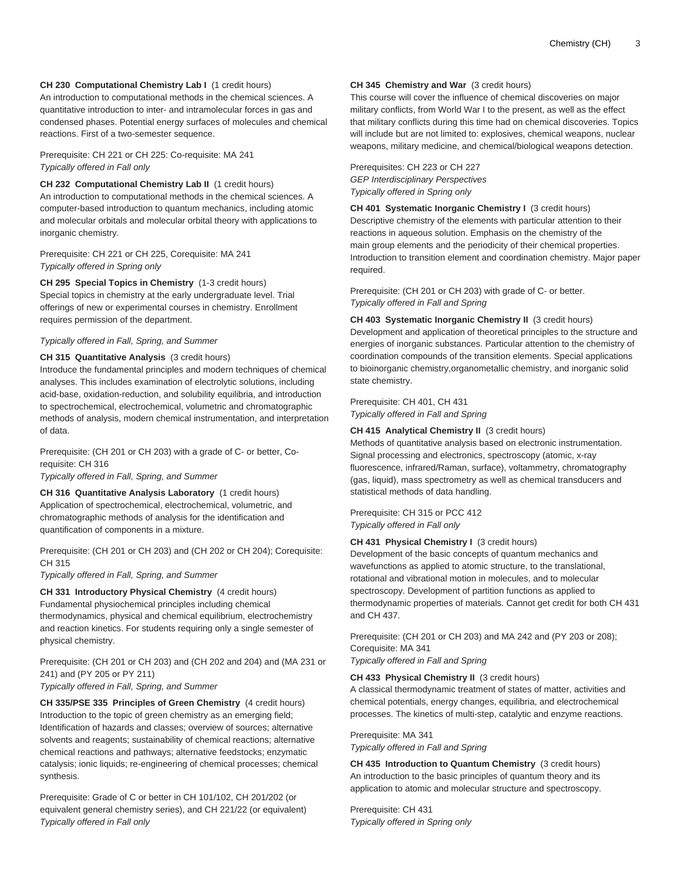## **CH 230 Computational Chemistry Lab I** (1 credit hours)

An introduction to computational methods in the chemical sciences. A quantitative introduction to inter- and intramolecular forces in gas and condensed phases. Potential energy surfaces of molecules and chemical reactions. First of a two-semester sequence.

Prerequisite: CH 221 or CH 225: Co-requisite: MA 241 Typically offered in Fall only

**CH 232 Computational Chemistry Lab II** (1 credit hours) An introduction to computational methods in the chemical sciences. A computer-based introduction to quantum mechanics, including atomic and molecular orbitals and molecular orbital theory with applications to inorganic chemistry.

Prerequisite: CH 221 or CH 225, Corequisite: MA 241 Typically offered in Spring only

**CH 295 Special Topics in Chemistry** (1-3 credit hours) Special topics in chemistry at the early undergraduate level. Trial offerings of new or experimental courses in chemistry. Enrollment requires permission of the department.

Typically offered in Fall, Spring, and Summer

#### **CH 315 Quantitative Analysis** (3 credit hours)

Introduce the fundamental principles and modern techniques of chemical analyses. This includes examination of electrolytic solutions, including acid-base, oxidation-reduction, and solubility equilibria, and introduction to spectrochemical, electrochemical, volumetric and chromatographic methods of analysis, modern chemical instrumentation, and interpretation of data.

Prerequisite: (CH 201 or CH 203) with a grade of C- or better, Corequisite: CH 316

Typically offered in Fall, Spring, and Summer

**CH 316 Quantitative Analysis Laboratory** (1 credit hours) Application of spectrochemical, electrochemical, volumetric, and chromatographic methods of analysis for the identification and quantification of components in a mixture.

Prerequisite: (CH 201 or CH 203) and (CH 202 or CH 204); Corequisite: CH 315

Typically offered in Fall, Spring, and Summer

**CH 331 Introductory Physical Chemistry** (4 credit hours) Fundamental physiochemical principles including chemical thermodynamics, physical and chemical equilibrium, electrochemistry and reaction kinetics. For students requiring only a single semester of physical chemistry.

Prerequisite: (CH 201 or CH 203) and (CH 202 and 204) and (MA 231 or 241) and (PY 205 or PY 211)

Typically offered in Fall, Spring, and Summer

**CH 335/PSE 335 Principles of Green Chemistry** (4 credit hours) Introduction to the topic of green chemistry as an emerging field; Identification of hazards and classes; overview of sources; alternative solvents and reagents; sustainability of chemical reactions; alternative chemical reactions and pathways; alternative feedstocks; enzymatic catalysis; ionic liquids; re-engineering of chemical processes; chemical synthesis.

Prerequisite: Grade of C or better in CH 101/102, CH 201/202 (or equivalent general chemistry series), and CH 221/22 (or equivalent) Typically offered in Fall only

# **CH 345 Chemistry and War** (3 credit hours)

This course will cover the influence of chemical discoveries on major military conflicts, from World War I to the present, as well as the effect that military conflicts during this time had on chemical discoveries. Topics will include but are not limited to: explosives, chemical weapons, nuclear weapons, military medicine, and chemical/biological weapons detection.

Prerequisites: CH 223 or CH 227 GEP Interdisciplinary Perspectives Typically offered in Spring only

**CH 401 Systematic Inorganic Chemistry I** (3 credit hours) Descriptive chemistry of the elements with particular attention to their reactions in aqueous solution. Emphasis on the chemistry of the main group elements and the periodicity of their chemical properties. Introduction to transition element and coordination chemistry. Major paper required.

Prerequisite: (CH 201 or CH 203) with grade of C- or better. Typically offered in Fall and Spring

**CH 403 Systematic Inorganic Chemistry II** (3 credit hours) Development and application of theoretical principles to the structure and energies of inorganic substances. Particular attention to the chemistry of coordination compounds of the transition elements. Special applications to bioinorganic chemistry,organometallic chemistry, and inorganic solid state chemistry.

#### Prerequisite: CH 401, CH 431 Typically offered in Fall and Spring

#### **CH 415 Analytical Chemistry II** (3 credit hours)

Methods of quantitative analysis based on electronic instrumentation. Signal processing and electronics, spectroscopy (atomic, x-ray fluorescence, infrared/Raman, surface), voltammetry, chromatography (gas, liquid), mass spectrometry as well as chemical transducers and statistical methods of data handling.

Prerequisite: CH 315 or PCC 412 Typically offered in Fall only

# **CH 431 Physical Chemistry I** (3 credit hours)

Development of the basic concepts of quantum mechanics and wavefunctions as applied to atomic structure, to the translational, rotational and vibrational motion in molecules, and to molecular spectroscopy. Development of partition functions as applied to thermodynamic properties of materials. Cannot get credit for both CH 431 and CH 437.

Prerequisite: (CH 201 or CH 203) and MA 242 and (PY 203 or 208); Corequisite: MA 341 Typically offered in Fall and Spring

**CH 433 Physical Chemistry II** (3 credit hours)

A classical thermodynamic treatment of states of matter, activities and chemical potentials, energy changes, equilibria, and electrochemical processes. The kinetics of multi-step, catalytic and enzyme reactions.

Prerequisite: MA 341 Typically offered in Fall and Spring

**CH 435 Introduction to Quantum Chemistry** (3 credit hours) An introduction to the basic principles of quantum theory and its application to atomic and molecular structure and spectroscopy.

Prerequisite: CH 431 Typically offered in Spring only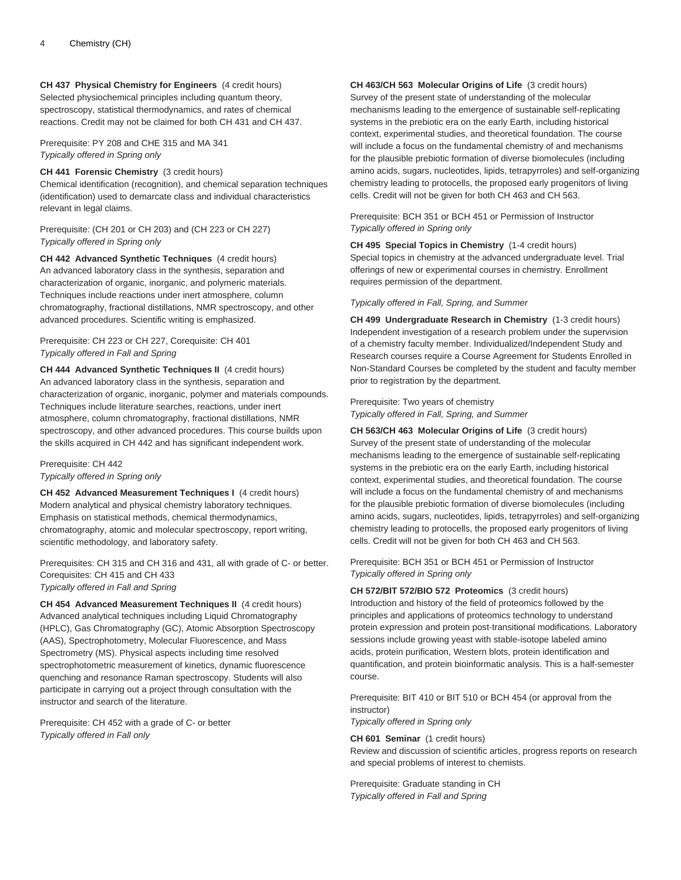**CH 437 Physical Chemistry for Engineers** (4 credit hours) Selected physiochemical principles including quantum theory, spectroscopy, statistical thermodynamics, and rates of chemical reactions. Credit may not be claimed for both CH 431 and CH 437.

Prerequisite: PY 208 and CHE 315 and MA 341 Typically offered in Spring only

#### **CH 441 Forensic Chemistry** (3 credit hours)

Chemical identification (recognition), and chemical separation techniques (identification) used to demarcate class and individual characteristics relevant in legal claims.

Prerequisite: (CH 201 or CH 203) and (CH 223 or CH 227) Typically offered in Spring only

**CH 442 Advanced Synthetic Techniques** (4 credit hours) An advanced laboratory class in the synthesis, separation and characterization of organic, inorganic, and polymeric materials. Techniques include reactions under inert atmosphere, column chromatography, fractional distillations, NMR spectroscopy, and other advanced procedures. Scientific writing is emphasized.

### Prerequisite: CH 223 or CH 227, Corequisite: CH 401 Typically offered in Fall and Spring

**CH 444 Advanced Synthetic Techniques II** (4 credit hours) An advanced laboratory class in the synthesis, separation and characterization of organic, inorganic, polymer and materials compounds. Techniques include literature searches, reactions, under inert atmosphere, column chromatography, fractional distillations, NMR spectroscopy, and other advanced procedures. This course builds upon the skills acquired in CH 442 and has significant independent work.

Prerequisite: CH 442 Typically offered in Spring only

**CH 452 Advanced Measurement Techniques I** (4 credit hours) Modern analytical and physical chemistry laboratory techniques. Emphasis on statistical methods, chemical thermodynamics, chromatography, atomic and molecular spectroscopy, report writing, scientific methodology, and laboratory safety.

Prerequisites: CH 315 and CH 316 and 431, all with grade of C- or better. Corequisites: CH 415 and CH 433 Typically offered in Fall and Spring

**CH 454 Advanced Measurement Techniques II** (4 credit hours) Advanced analytical techniques including Liquid Chromatography (HPLC), Gas Chromatography (GC), Atomic Absorption Spectroscopy (AAS), Spectrophotometry, Molecular Fluorescence, and Mass Spectrometry (MS). Physical aspects including time resolved spectrophotometric measurement of kinetics, dynamic fluorescence quenching and resonance Raman spectroscopy. Students will also participate in carrying out a project through consultation with the instructor and search of the literature.

Prerequisite: CH 452 with a grade of C- or better Typically offered in Fall only

**CH 463/CH 563 Molecular Origins of Life** (3 credit hours) Survey of the present state of understanding of the molecular mechanisms leading to the emergence of sustainable self-replicating systems in the prebiotic era on the early Earth, including historical context, experimental studies, and theoretical foundation. The course will include a focus on the fundamental chemistry of and mechanisms for the plausible prebiotic formation of diverse biomolecules (including amino acids, sugars, nucleotides, lipids, tetrapyrroles) and self-organizing chemistry leading to protocells, the proposed early progenitors of living cells. Credit will not be given for both CH 463 and CH 563.

Prerequisite: BCH 351 or BCH 451 or Permission of Instructor Typically offered in Spring only

**CH 495 Special Topics in Chemistry** (1-4 credit hours) Special topics in chemistry at the advanced undergraduate level. Trial offerings of new or experimental courses in chemistry. Enrollment requires permission of the department.

#### Typically offered in Fall, Spring, and Summer

**CH 499 Undergraduate Research in Chemistry** (1-3 credit hours) Independent investigation of a research problem under the supervision of a chemistry faculty member. Individualized/Independent Study and Research courses require a Course Agreement for Students Enrolled in Non-Standard Courses be completed by the student and faculty member prior to registration by the department.

#### Prerequisite: Two years of chemistry Typically offered in Fall, Spring, and Summer

**CH 563/CH 463 Molecular Origins of Life** (3 credit hours) Survey of the present state of understanding of the molecular mechanisms leading to the emergence of sustainable self-replicating systems in the prebiotic era on the early Earth, including historical context, experimental studies, and theoretical foundation. The course will include a focus on the fundamental chemistry of and mechanisms for the plausible prebiotic formation of diverse biomolecules (including amino acids, sugars, nucleotides, lipids, tetrapyrroles) and self-organizing chemistry leading to protocells, the proposed early progenitors of living cells. Credit will not be given for both CH 463 and CH 563.

Prerequisite: BCH 351 or BCH 451 or Permission of Instructor Typically offered in Spring only

**CH 572/BIT 572/BIO 572 Proteomics** (3 credit hours) Introduction and history of the field of proteomics followed by the principles and applications of proteomics technology to understand protein expression and protein post-transitional modifications. Laboratory sessions include growing yeast with stable-isotope labeled amino acids, protein purification, Western blots, protein identification and quantification, and protein bioinformatic analysis. This is a half-semester course.

Prerequisite: BIT 410 or BIT 510 or BCH 454 (or approval from the instructor)

Typically offered in Spring only

**CH 601 Seminar** (1 credit hours)

Review and discussion of scientific articles, progress reports on research and special problems of interest to chemists.

Prerequisite: Graduate standing in CH Typically offered in Fall and Spring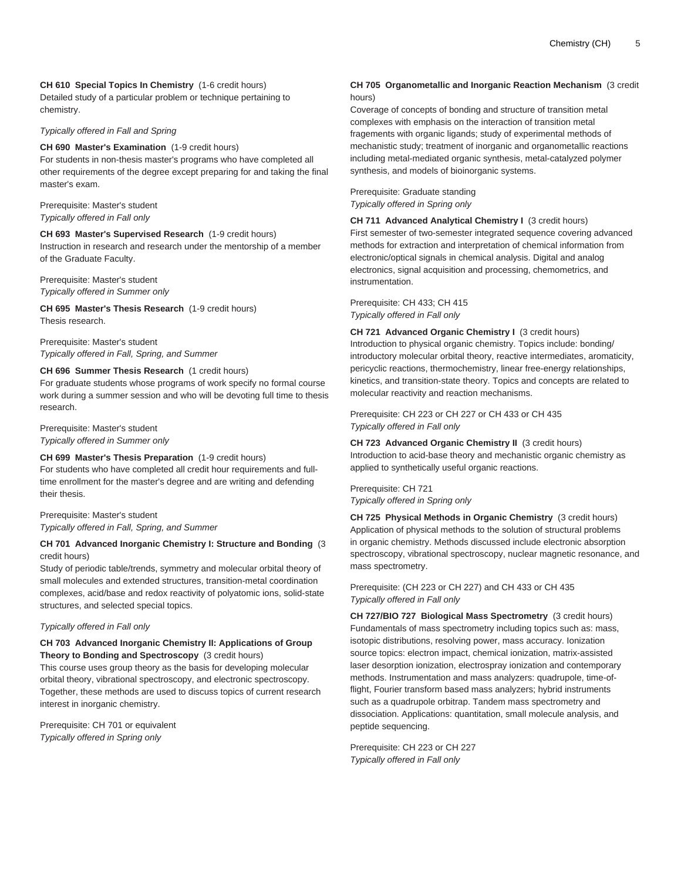**CH 610 Special Topics In Chemistry** (1-6 credit hours) Detailed study of a particular problem or technique pertaining to chemistry.

Typically offered in Fall and Spring

**CH 690 Master's Examination** (1-9 credit hours) For students in non-thesis master's programs who have completed all other requirements of the degree except preparing for and taking the final master's exam.

Prerequisite: Master's student Typically offered in Fall only

**CH 693 Master's Supervised Research** (1-9 credit hours) Instruction in research and research under the mentorship of a member of the Graduate Faculty.

Prerequisite: Master's student Typically offered in Summer only

**CH 695 Master's Thesis Research** (1-9 credit hours) Thesis research.

Prerequisite: Master's student Typically offered in Fall, Spring, and Summer

# **CH 696 Summer Thesis Research** (1 credit hours)

For graduate students whose programs of work specify no formal course work during a summer session and who will be devoting full time to thesis research.

Prerequisite: Master's student Typically offered in Summer only

# **CH 699 Master's Thesis Preparation** (1-9 credit hours)

For students who have completed all credit hour requirements and fulltime enrollment for the master's degree and are writing and defending their thesis.

Prerequisite: Master's student Typically offered in Fall, Spring, and Summer

#### **CH 701 Advanced Inorganic Chemistry I: Structure and Bonding** (3 credit hours)

Study of periodic table/trends, symmetry and molecular orbital theory of small molecules and extended structures, transition-metal coordination complexes, acid/base and redox reactivity of polyatomic ions, solid-state structures, and selected special topics.

#### Typically offered in Fall only

#### **CH 703 Advanced Inorganic Chemistry II: Applications of Group Theory to Bonding and Spectroscopy** (3 credit hours)

This course uses group theory as the basis for developing molecular orbital theory, vibrational spectroscopy, and electronic spectroscopy. Together, these methods are used to discuss topics of current research interest in inorganic chemistry.

Prerequisite: CH 701 or equivalent Typically offered in Spring only

#### **CH 705 Organometallic and Inorganic Reaction Mechanism** (3 credit hours)

Coverage of concepts of bonding and structure of transition metal complexes with emphasis on the interaction of transition metal fragements with organic ligands; study of experimental methods of mechanistic study; treatment of inorganic and organometallic reactions including metal-mediated organic synthesis, metal-catalyzed polymer synthesis, and models of bioinorganic systems.

Prerequisite: Graduate standing Typically offered in Spring only

**CH 711 Advanced Analytical Chemistry I** (3 credit hours) First semester of two-semester integrated sequence covering advanced methods for extraction and interpretation of chemical information from electronic/optical signals in chemical analysis. Digital and analog electronics, signal acquisition and processing, chemometrics, and instrumentation.

Prerequisite: CH 433; CH 415 Typically offered in Fall only

**CH 721 Advanced Organic Chemistry I** (3 credit hours) Introduction to physical organic chemistry. Topics include: bonding/ introductory molecular orbital theory, reactive intermediates, aromaticity, pericyclic reactions, thermochemistry, linear free-energy relationships, kinetics, and transition-state theory. Topics and concepts are related to molecular reactivity and reaction mechanisms.

Prerequisite: CH 223 or CH 227 or CH 433 or CH 435 Typically offered in Fall only

**CH 723 Advanced Organic Chemistry II** (3 credit hours) Introduction to acid-base theory and mechanistic organic chemistry as applied to synthetically useful organic reactions.

Prerequisite: CH 721 Typically offered in Spring only

**CH 725 Physical Methods in Organic Chemistry** (3 credit hours) Application of physical methods to the solution of structural problems in organic chemistry. Methods discussed include electronic absorption spectroscopy, vibrational spectroscopy, nuclear magnetic resonance, and mass spectrometry.

Prerequisite: (CH 223 or CH 227) and CH 433 or CH 435 Typically offered in Fall only

**CH 727/BIO 727 Biological Mass Spectrometry** (3 credit hours) Fundamentals of mass spectrometry including topics such as: mass, isotopic distributions, resolving power, mass accuracy. Ionization source topics: electron impact, chemical ionization, matrix-assisted laser desorption ionization, electrospray ionization and contemporary methods. Instrumentation and mass analyzers: quadrupole, time-offlight, Fourier transform based mass analyzers; hybrid instruments such as a quadrupole orbitrap. Tandem mass spectrometry and dissociation. Applications: quantitation, small molecule analysis, and peptide sequencing.

Prerequisite: CH 223 or CH 227 Typically offered in Fall only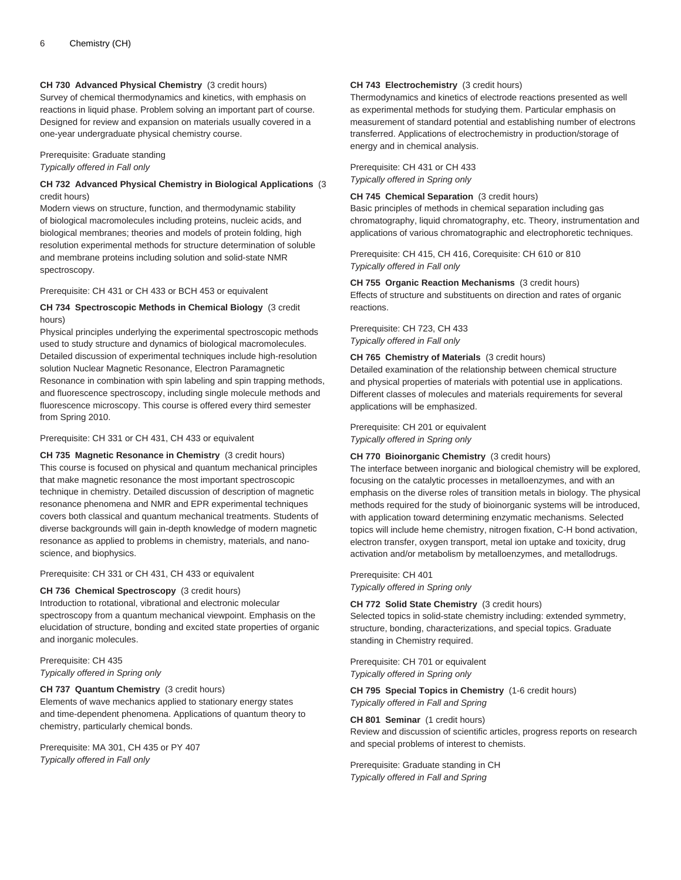## **CH 730 Advanced Physical Chemistry** (3 credit hours)

Survey of chemical thermodynamics and kinetics, with emphasis on reactions in liquid phase. Problem solving an important part of course. Designed for review and expansion on materials usually covered in a one-year undergraduate physical chemistry course.

## Prerequisite: Graduate standing Typically offered in Fall only

#### **CH 732 Advanced Physical Chemistry in Biological Applications** (3 credit hours)

Modern views on structure, function, and thermodynamic stability of biological macromolecules including proteins, nucleic acids, and biological membranes; theories and models of protein folding, high resolution experimental methods for structure determination of soluble and membrane proteins including solution and solid-state NMR spectroscopy.

#### Prerequisite: CH 431 or CH 433 or BCH 453 or equivalent

#### **CH 734 Spectroscopic Methods in Chemical Biology** (3 credit hours)

Physical principles underlying the experimental spectroscopic methods used to study structure and dynamics of biological macromolecules. Detailed discussion of experimental techniques include high-resolution solution Nuclear Magnetic Resonance, Electron Paramagnetic Resonance in combination with spin labeling and spin trapping methods, and fluorescence spectroscopy, including single molecule methods and fluorescence microscopy. This course is offered every third semester from Spring 2010.

#### Prerequisite: CH 331 or CH 431, CH 433 or equivalent

**CH 735 Magnetic Resonance in Chemistry** (3 credit hours) This course is focused on physical and quantum mechanical principles that make magnetic resonance the most important spectroscopic technique in chemistry. Detailed discussion of description of magnetic resonance phenomena and NMR and EPR experimental techniques covers both classical and quantum mechanical treatments. Students of diverse backgrounds will gain in-depth knowledge of modern magnetic resonance as applied to problems in chemistry, materials, and nanoscience, and biophysics.

#### Prerequisite: CH 331 or CH 431, CH 433 or equivalent

#### **CH 736 Chemical Spectroscopy** (3 credit hours)

Introduction to rotational, vibrational and electronic molecular spectroscopy from a quantum mechanical viewpoint. Emphasis on the elucidation of structure, bonding and excited state properties of organic and inorganic molecules.

Prerequisite: CH 435 Typically offered in Spring only

# **CH 737 Quantum Chemistry** (3 credit hours)

Elements of wave mechanics applied to stationary energy states and time-dependent phenomena. Applications of quantum theory to chemistry, particularly chemical bonds.

Prerequisite: MA 301, CH 435 or PY 407 Typically offered in Fall only

#### **CH 743 Electrochemistry** (3 credit hours)

Thermodynamics and kinetics of electrode reactions presented as well as experimental methods for studying them. Particular emphasis on measurement of standard potential and establishing number of electrons transferred. Applications of electrochemistry in production/storage of energy and in chemical analysis.

Prerequisite: CH 431 or CH 433 Typically offered in Spring only

**CH 745 Chemical Separation** (3 credit hours)

Basic principles of methods in chemical separation including gas chromatography, liquid chromatography, etc. Theory, instrumentation and applications of various chromatographic and electrophoretic techniques.

Prerequisite: CH 415, CH 416, Corequisite: CH 610 or 810 Typically offered in Fall only

**CH 755 Organic Reaction Mechanisms** (3 credit hours) Effects of structure and substituents on direction and rates of organic reactions.

#### Prerequisite: CH 723, CH 433 Typically offered in Fall only

#### **CH 765 Chemistry of Materials** (3 credit hours)

Detailed examination of the relationship between chemical structure and physical properties of materials with potential use in applications. Different classes of molecules and materials requirements for several applications will be emphasized.

Prerequisite: CH 201 or equivalent Typically offered in Spring only

#### **CH 770 Bioinorganic Chemistry** (3 credit hours)

The interface between inorganic and biological chemistry will be explored, focusing on the catalytic processes in metalloenzymes, and with an emphasis on the diverse roles of transition metals in biology. The physical methods required for the study of bioinorganic systems will be introduced, with application toward determining enzymatic mechanisms. Selected topics will include heme chemistry, nitrogen fixation, C-H bond activation, electron transfer, oxygen transport, metal ion uptake and toxicity, drug activation and/or metabolism by metalloenzymes, and metallodrugs.

Prerequisite: CH 401 Typically offered in Spring only

**CH 772 Solid State Chemistry** (3 credit hours) Selected topics in solid-state chemistry including: extended symmetry, structure, bonding, characterizations, and special topics. Graduate standing in Chemistry required.

Prerequisite: CH 701 or equivalent Typically offered in Spring only

**CH 795 Special Topics in Chemistry** (1-6 credit hours) Typically offered in Fall and Spring

**CH 801 Seminar** (1 credit hours) Review and discussion of scientific articles, progress reports on research and special problems of interest to chemists.

Prerequisite: Graduate standing in CH Typically offered in Fall and Spring